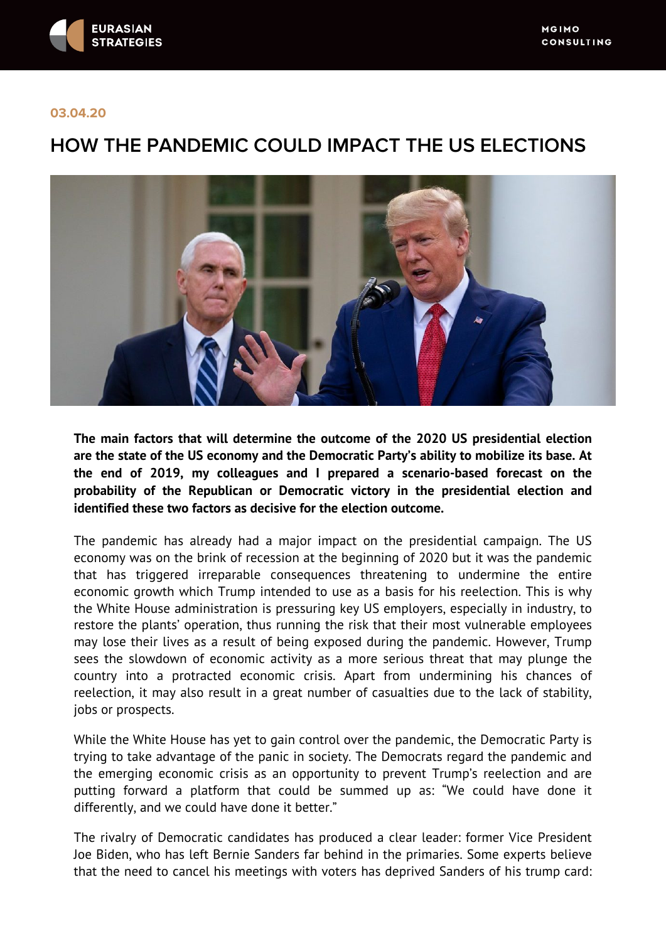

## **03.04.20**

# **HOW THE PANDEMIC COULD IMPACT THE US ELECTIONS**



**The main factors that will determine the outcome of the 2020 US presidential election are the state of the US economy and the Democratic Party's ability to mobilize its base. At the end of 2019, my colleagues and I prepared a scenario-based forecast on the probability of the Republican or Democratic victory in the presidential election and identified these two factors as decisive for the election outcome.**

The pandemic has already had a major impact on the presidential campaign. The US economy was on the brink of recession at the beginning of 2020 but it was the pandemic that has triggered irreparable consequences threatening to undermine the entire economic growth which Trump intended to use as a basis for his reelection. This is why the White House administration is pressuring key US employers, especially in industry, to restore the plants' operation, thus running the risk that their most vulnerable employees may lose their lives as a result of being exposed during the pandemic. However, Trump sees the slowdown of economic activity as a more serious threat that may plunge the country into a protracted economic crisis. Apart from undermining his chances of reelection, it may also result in a great number of casualties due to the lack of stability, jobs or prospects.

While the White House has yet to gain control over the pandemic, the Democratic Party is trying to take advantage of the panic in society. The Democrats regard the pandemic and the emerging economic crisis as an opportunity to prevent Trump's reelection and are putting forward a platform that could be summed up as: "We could have done it differently, and we could have done it better."

The rivalry of Democratic candidates has produced a clear leader: former Vice President Joe Biden, who has left Bernie Sanders far behind in the primaries. Some experts believe that the need to cancel his meetings with voters has deprived Sanders of his trump card: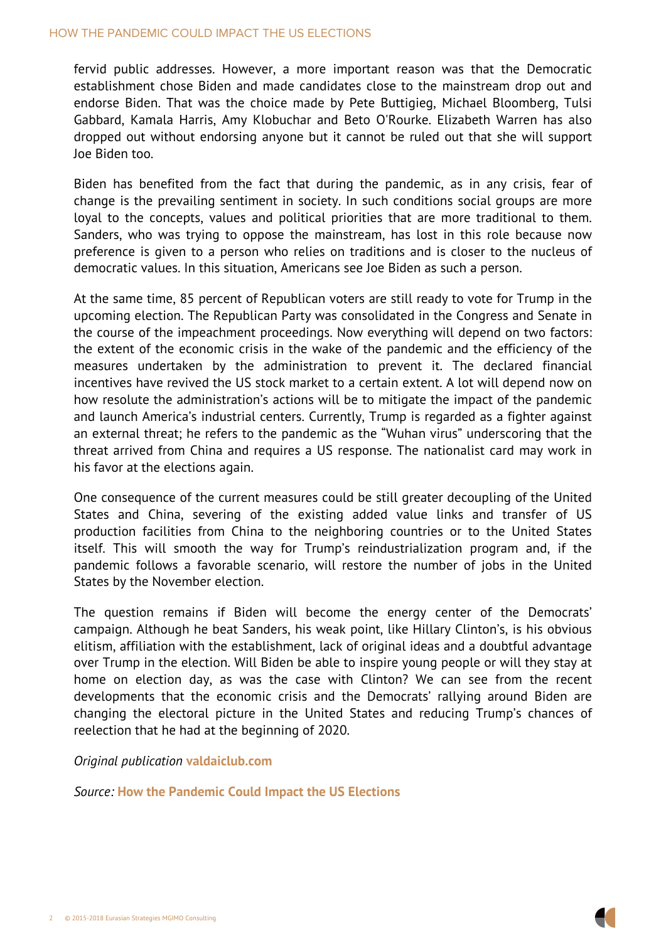#### HOW THE PANDEMIC COULD IMPACT THE US ELECTIONS

fervid public addresses. However, a more important reas establishment chose Biden and made candidates close to the endorse Biden. That was the choice made by Pete Buttigie Gabbard, Kamala Harris, Amy Klobuchar and Beto O'Rourke dropped out without endorsing anyone but it cannot be rule Joe Biden too.

Biden has benefited from the fact that during the pander change is the prevailing sentiment in society. In such cond loyal to the concepts, values and political priorities that Sanders, who was trying to oppose the mainstream, has less preference is given to a person who relies on traditions and democratic values. In this situation, Americans see Joe Biden

At the same time, 85 percent of Republican voters are still r upcoming election. The Republican Party was consolidated in the course of the impeachment proceedings. Now everything the extent of the economic crisis in the wake of the pandel measures undertaken by the administration to prevent incentives have revived the US stock market to a certain extent how resolute the administration s actions will be to mitigate and launch America s industrial centers. Currently, Trump is an external threat; he refers to the pandemic as the Wuhan threat arrived from China and requires a US response. The his favor at the elections again.

One consequence of the current measures could be still greater States and China, severing of the existing added val production facilities from China to the neighboring count itself. This will smooth the way for Trump s reindustria pandemic follows a favorable scenario, will restore the n States by the November election.

The question remains if Biden will become the energ campaign. Although he beat Sanders, his weak point, like H elitism, affiliation with the establishment, lack of original id over Trump in the election. Will Biden be able to inspire you home on election day, as was the case with Clinton? developments that the economic crisis and the Democrats changing the electoral picture in the United States and reelection that he had at the beginning of 2020.

Original publication values of the values of the Union values of the Union values of the Union values of the U

Sourchow the Pandemic Could Impact the US Elections